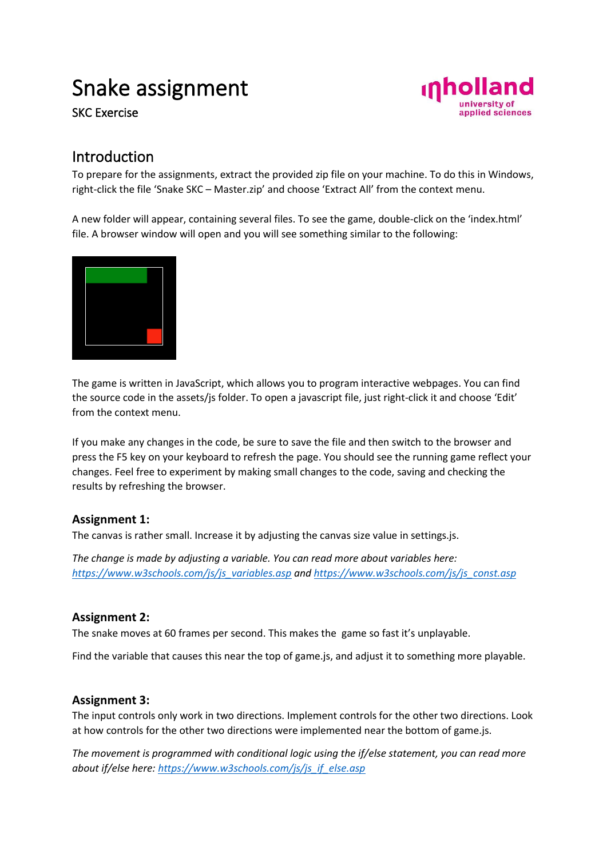# Snake assignment

SKC Exercise



### Introduction

To prepare for the assignments, extract the provided zip file on your machine. To do this in Windows, right-click the file 'Snake SKC – Master.zip' and choose 'Extract All' from the context menu.

A new folder will appear, containing several files. To see the game, double-click on the 'index.html' file. A browser window will open and you will see something similar to the following:



The game is written in JavaScript, which allows you to program interactive webpages. You can find the source code in the assets/js folder. To open a javascript file, just right-click it and choose 'Edit' from the context menu.

If you make any changes in the code, be sure to save the file and then switch to the browser and press the F5 key on your keyboard to refresh the page. You should see the running game reflect your changes. Feel free to experiment by making small changes to the code, saving and checking the results by refreshing the browser.

#### **Assignment 1:**

The canvas is rather small. Increase it by adjusting the canvas size value in settings.js.

*The change is made by adjusting a variable. You can read more about variables here: [https://www.w3schools.com/js/js\\_variables.asp](https://www.w3schools.com/js/js_variables.asp) and [https://www.w3schools.com/js/js\\_const.asp](https://www.w3schools.com/js/js_const.asp)*

#### **Assignment 2:**

The snake moves at 60 frames per second. This makes the game so fast it's unplayable.

Find the variable that causes this near the top of game.js, and adjust it to something more playable.

#### **Assignment 3:**

The input controls only work in two directions. Implement controls for the other two directions. Look at how controls for the other two directions were implemented near the bottom of game.js.

*The movement is programmed with conditional logic using the if/else statement, you can read more about if/else here: [https://www.w3schools.com/js/js\\_if\\_else.asp](https://www.w3schools.com/js/js_if_else.asp)*